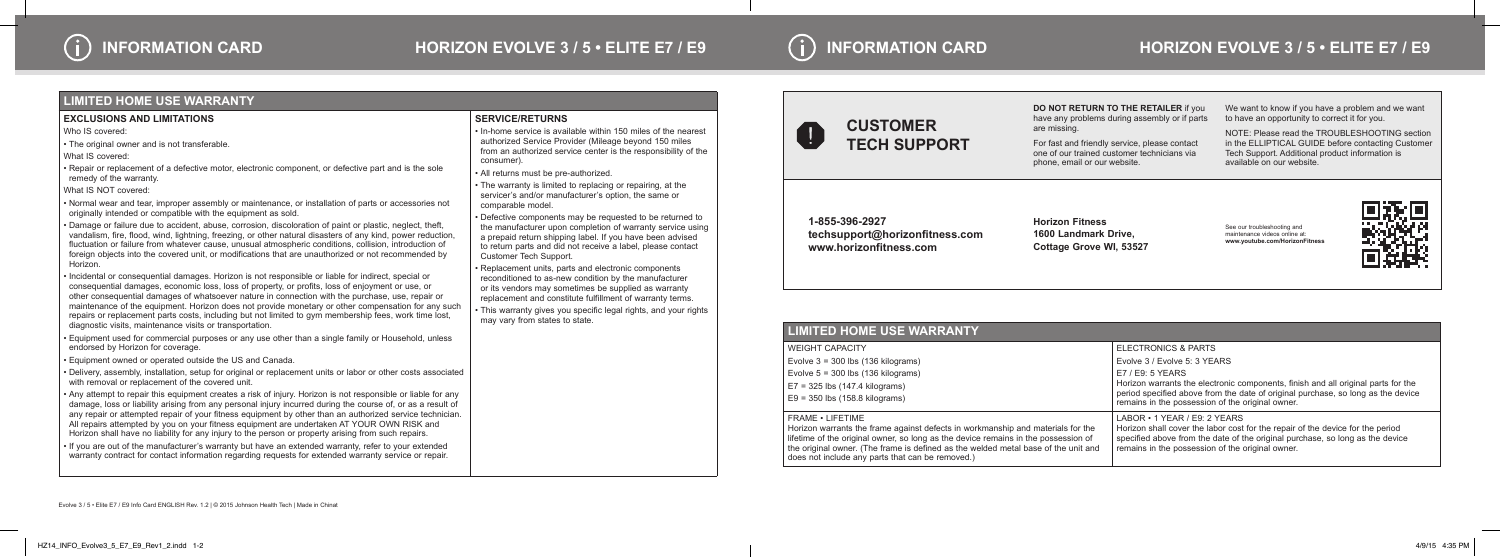

**DO NOT RETURN TO THE RETAILER** if you have any problems during assembly or if parts

are missing.

For fast and friendly service, please contact one of our trained customer technicians via phone, email or our website.

We want to know if you have a problem and we want to have an opportunity to correct it for you.

NOTE: Please read the TROUBLESHOOTING section in the ELLIPTICAL GUIDE before contacting Customer Tech Support. Additional product information is available on our website.

**1-855-396-2927 techsupport@horizonfitness.com www.horizonfitness.com**

**Horizon Fitness 1600 Landmark Drive, Cottage Grove WI, 53527**

See our troubleshooting and maintenance videos online at: **www.youtube.com/HorizonFitness**



## **LIMITED HOME USE WARRANTY**

WEIGHT CAPACITY Evolve 3 = 300 lbs (136 kilograms) Evolve 5 = 300 lbs (136 kilograms) E7 = 325 lbs (147.4 kilograms) E9 = 350 lbs (158.8 kilograms)

FRAME • LIFETIME

|  | ELECTRONICS & PARTS                                                                                                                                                                                                                                       |
|--|-----------------------------------------------------------------------------------------------------------------------------------------------------------------------------------------------------------------------------------------------------------|
|  | Evolve 3 / Evolve 5: 3 YEARS                                                                                                                                                                                                                              |
|  | $E7 / E9$ : 5 YEARS<br>Horizon warrants the electronic components, finish and all original parts for the<br>period specified above from the date of original purchase, so long as the device<br>remains in the possession of the original owner.          |
|  | $LABOR \cdot 1$ YEAR / E9: 2 YEARS<br>Horizon shall cover the labor cost for the repair of the device for the period<br>specified above from the date of the original purchase, so long as the device<br>remains in the possession of the original owner. |

Horizon warrants the frame against defects in workmanship and materials for the lifetime of the original owner, so long as the device remains in the possession of the original owner. (The frame is defined as the welded metal base of the unit and does not include any parts that can be removed.)

- Equipment used for commercial purposes or any use other than a single family or Household, unless endorsed by Horizon for coverage.
- Equipment owned or operated outside the US and Canada.
- Delivery, assembly, installation, setup for original or replacement units or labor or other costs associated with removal or replacement of the covered unit.



## **LIMITED HOME USE WARRANTY**

#### **EXCLUSIONS AND LIMITATIONS**

Who IS covered:

• The original owner and is not transferable.

What IS covered:

• Repair or replacement of a defective motor, electronic component, or defective part and is the sole remedy of the warranty.

What IS NOT covered:

• Normal wear and tear, improper assembly or maintenance, or installation of parts or accessories not originally intended or compatible with the equipment as sold.

• Damage or failure due to accident, abuse, corrosion, discoloration of paint or plastic, neglect, theft, vandalism, fire, flood, wind, lightning, freezing, or other natural disasters of any kind, power reduction, fluctuation or failure from whatever cause, unusual atmospheric conditions, collision, introduction of foreign objects into the covered unit, or modifications that are unauthorized or not recommended by Horizon.

• Incidental or consequential damages. Horizon is not responsible or liable for indirect, special or consequential damages, economic loss, loss of property, or profits, loss of enjoyment or use, or other consequential damages of whatsoever nature in connection with the purchase, use, repair or maintenance of the equipment. Horizon does not provide monetary or other compensation for any such repairs or replacement parts costs, including but not limited to gym membership fees, work time lost, diagnostic visits, maintenance visits or transportation.

• Any attempt to repair this equipment creates a risk of injury. Horizon is not responsible or liable for any damage, loss or liability arising from any personal injury incurred during the course of, or as a result of any repair or attempted repair of your fitness equipment by other than an authorized service technician. All repairs attempted by you on your fitness equipment are undertaken AT YOUR OWN RISK and Horizon shall have no liability for any injury to the person or property arising from such repairs.

• If you are out of the manufacturer's warranty but have an extended warranty, refer to your extended warranty contract for contact information regarding requests for extended warranty service or repair.

## **SERVICE/RETURNS**

• In-home service is available within 150 miles of the nearest authorized Service Provider (Mileage beyond 150 miles from an authorized service center is the responsibility of the consumer).

• All returns must be pre-authorized.

• The warranty is limited to replacing or repairing, at the servicer's and/or manufacturer's option, the same or comparable model.

• Defective components may be requested to be returned to the manufacturer upon completion of warranty service using a prepaid return shipping label. If you have been advised to return parts and did not receive a label, please contact Customer Tech Support.

• Replacement units, parts and electronic components reconditioned to as-new condition by the manufacturer or its vendors may sometimes be supplied as warranty replacement and constitute fulfillment of warranty terms.

• This warranty gives you specific legal rights, and your rights may vary from states to state.

## **INFORMATION CARD HORIZON EVOLVE 3 / 5 • ELITE E7 / E9**